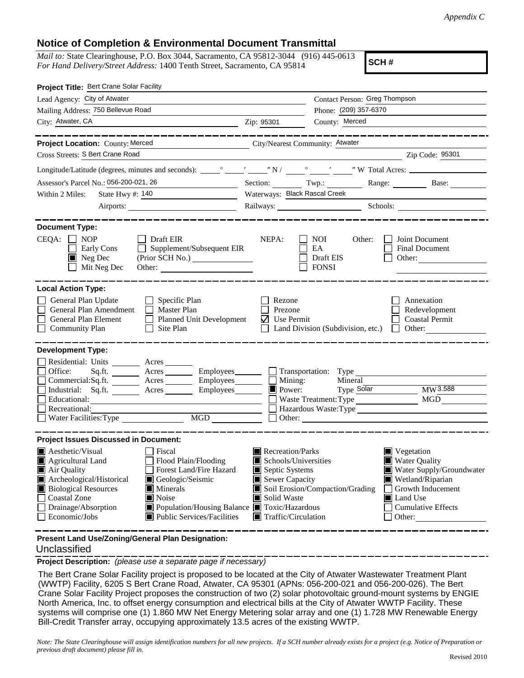## **Notice of Completion & Environmental Document Transmittal**

*Mail to:* State Clearinghouse, P.O. Box 3044, Sacramento, CA 95812-3044 (916) 445-0613 *For Hand Delivery/Street Address:* 1400 Tenth Street, Sacramento, CA 95814

**SCH #**

| Project Title: Bert Crane Solar Facility                                                                                                                                              |                                           |                                                  |                                                      |
|---------------------------------------------------------------------------------------------------------------------------------------------------------------------------------------|-------------------------------------------|--------------------------------------------------|------------------------------------------------------|
| Lead Agency: City of Atwater                                                                                                                                                          |                                           | Contact Person: Greg Thompson                    |                                                      |
| Mailing Address: 750 Bellevue Road                                                                                                                                                    |                                           | Phone: (209) 357-6370<br>County: Merced          |                                                      |
| City: Atwater, CA                                                                                                                                                                     | Zip: 95301                                |                                                  |                                                      |
| . __ __ __ __ __ __ __ __                                                                                                                                                             |                                           |                                                  | . __ _ _ _ _ _ _ _ _ _ _ _ _ _ _                     |
| City/Nearest Community: Atwater<br>Project Location: County: Merced                                                                                                                   |                                           |                                                  |                                                      |
| Cross Streets: S Bert Crane Road                                                                                                                                                      |                                           |                                                  | Zip Code: 95301                                      |
|                                                                                                                                                                                       |                                           |                                                  |                                                      |
| Assessor's Parcel No.: 056-200-021, 26                                                                                                                                                |                                           |                                                  | Section: Twp.: Range: Base:                          |
| Within 2 Miles:<br>State Hwy $\#$ : 140                                                                                                                                               | Waterways: Black Rascal Creek             |                                                  |                                                      |
|                                                                                                                                                                                       |                                           |                                                  | Railways: Schools: Schools:                          |
| <b>Document Type:</b><br>$CEQA: \Box NOP$<br>$\Box$ Draft EIR<br>$\Box$ Supplement/Subsequent EIR<br>Early Cons<br>$\blacksquare$ Neg Dec<br>(Prior SCH No.)<br>Mit Neg Dec           | NEPA:                                     | NOI<br>Other:<br>EA<br>Draft EIS<br><b>FONSI</b> | Joint Document<br>Final Document<br>Other:           |
| <b>Local Action Type:</b>                                                                                                                                                             |                                           |                                                  |                                                      |
| General Plan Update<br>$\Box$ Specific Plan<br>General Plan Amendment<br>Master Plan<br>General Plan Element<br>Planned Unit Development<br><b>Community Plan</b><br>$\Box$ Site Plan | Rezone<br>Prezone<br>$\bigvee$ Use Permit | Land Division (Subdivision, etc.) $\Box$ Other:  | Annexation<br>Redevelopment<br><b>Coastal Permit</b> |
| <b>Development Type:</b>                                                                                                                                                              |                                           |                                                  |                                                      |
| Residential: Units ________ Acres _______                                                                                                                                             |                                           |                                                  |                                                      |
| Sq.ft. ________ Acres __________ Employees________<br>Office:                                                                                                                         |                                           | Transportation: Type                             |                                                      |
| Commercial:Sq.ft. _________ Acres __________ Employees _______                                                                                                                        | Mining:                                   | Mineral                                          |                                                      |
| Industrial: Sq.ft. _______ Acres ________ Employees_______<br>Educational:                                                                                                            | Power:                                    | Type Solar<br>Waste Treatment: Type              | MW3.588<br>MGD                                       |
| Recreational:                                                                                                                                                                         |                                           |                                                  | Hazardous Waste: Type                                |
| $\begin{tabular}{ c c } \hline \text{MGD} & \text{---} \\ \hline \end{tabular}$<br>Water Facilities: Type                                                                             |                                           |                                                  |                                                      |
|                                                                                                                                                                                       |                                           |                                                  |                                                      |
| <b>Project Issues Discussed in Document:</b>                                                                                                                                          |                                           |                                                  |                                                      |
| $\blacksquare$ Aesthetic/Visual<br><b>Fiscal</b><br>Flood Plain/Flooding<br>$\blacksquare$ Agricultural Land                                                                          | Recreation/Parks<br>Schools/Universities  |                                                  | $\blacksquare$ Vegetation<br><b>Water Quality</b>    |
| Forest Land/Fire Hazard<br>Air Quality                                                                                                                                                | Septic Systems                            |                                                  | Water Supply/Groundwater                             |
| Archeological/Historical<br>Geologic/Seismic                                                                                                                                          | Sewer Capacity                            |                                                  | Wetland/Riparian                                     |
| <b>Biological Resources</b><br>Minerals                                                                                                                                               |                                           | Soil Erosion/Compaction/Grading                  | Growth Inducement                                    |
| Noise<br><b>Coastal Zone</b><br>Drainage/Absorption<br>■ Population/Housing Balance ■ Toxic/Hazardous                                                                                 | Solid Waste                               |                                                  | Land Use<br><b>Cumulative Effects</b>                |
| Economic/Jobs<br>Public Services/Facilities                                                                                                                                           |                                           | $\blacksquare$ Traffic/Circulation<br>Other:     |                                                      |
|                                                                                                                                                                                       |                                           |                                                  |                                                      |

**Present Land Use/Zoning/General Plan Designation:**

## Unclassified

**Project Description:** *(please use a separate page if necessary)*

 The Bert Crane Solar Facility project is proposed to be located at the City of Atwater Wastewater Treatment Plant (WWTP) Facility, 6205 S Bert Crane Road, Atwater, CA 95301 (APNs: 056-200-021 and 056-200-026). The Bert Crane Solar Facility Project proposes the construction of two (2) solar photovoltaic ground-mount systems by ENGIE North America, Inc. to offset energy consumption and electrical bills at the City of Atwater WWTP Facility. These systems will comprise one (1) 1.860 MW Net Energy Metering solar array and one (1) 1.728 MW Renewable Energy Bill-Credit Transfer array, occupying approximately 13.5 acres of the existing WWTP.

*Note: The State Clearinghouse will assign identification numbers for all new projects. If a SCH number already exists for a project (e.g. Notice of Preparation or previous draft document) please fill in.*